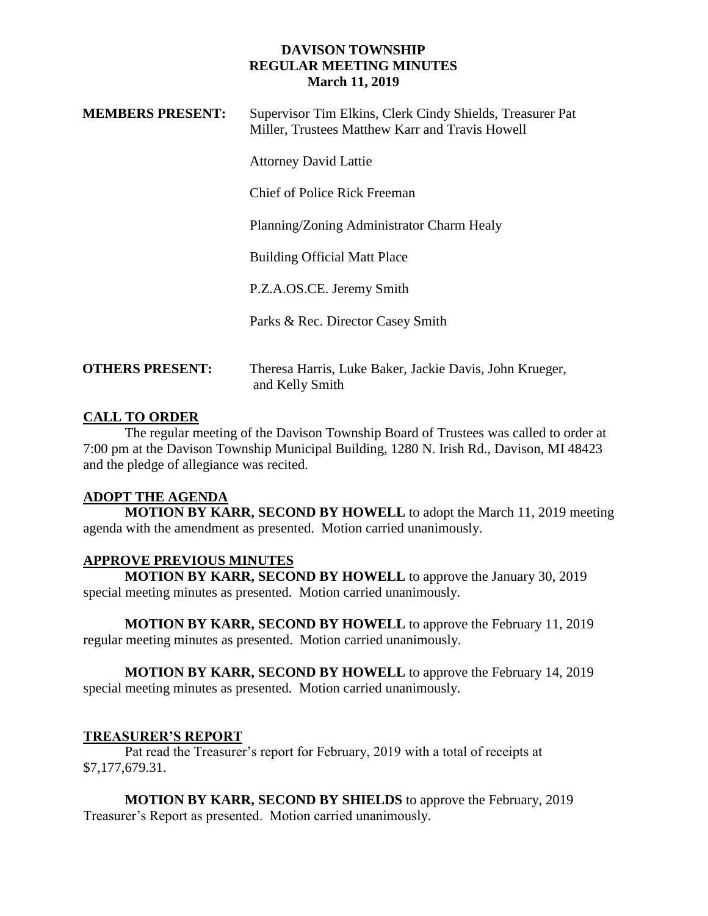| <b>MEMBERS PRESENT:</b> | Supervisor Tim Elkins, Clerk Cindy Shields, Treasurer Pat<br>Miller, Trustees Matthew Karr and Travis Howell |
|-------------------------|--------------------------------------------------------------------------------------------------------------|
|                         | <b>Attorney David Lattie</b>                                                                                 |
|                         | Chief of Police Rick Freeman                                                                                 |
|                         | Planning/Zoning Administrator Charm Healy                                                                    |
|                         | <b>Building Official Matt Place</b>                                                                          |
|                         | P.Z.A.OS.CE. Jeremy Smith                                                                                    |
|                         | Parks & Rec. Director Casey Smith                                                                            |
| <b>OTHERS PRESENT:</b>  | Theresa Harris, Luke Baker, Jackie Davis, John Krueger,<br>and Kelly Smith                                   |

# **CALL TO ORDER**

The regular meeting of the Davison Township Board of Trustees was called to order at 7:00 pm at the Davison Township Municipal Building, 1280 N. Irish Rd., Davison, MI 48423 and the pledge of allegiance was recited.

### **ADOPT THE AGENDA**

**MOTION BY KARR, SECOND BY HOWELL** to adopt the March 11, 2019 meeting agenda with the amendment as presented. Motion carried unanimously.

### **APPROVE PREVIOUS MINUTES**

**MOTION BY KARR, SECOND BY HOWELL** to approve the January 30, 2019 special meeting minutes as presented. Motion carried unanimously.

**MOTION BY KARR, SECOND BY HOWELL** to approve the February 11, 2019 regular meeting minutes as presented. Motion carried unanimously.

**MOTION BY KARR, SECOND BY HOWELL** to approve the February 14, 2019 special meeting minutes as presented. Motion carried unanimously.

### **TREASURER'S REPORT**

Pat read the Treasurer's report for February, 2019 with a total of receipts at \$7,177,679.31.

**MOTION BY KARR, SECOND BY SHIELDS** to approve the February, 2019 Treasurer's Report as presented. Motion carried unanimously.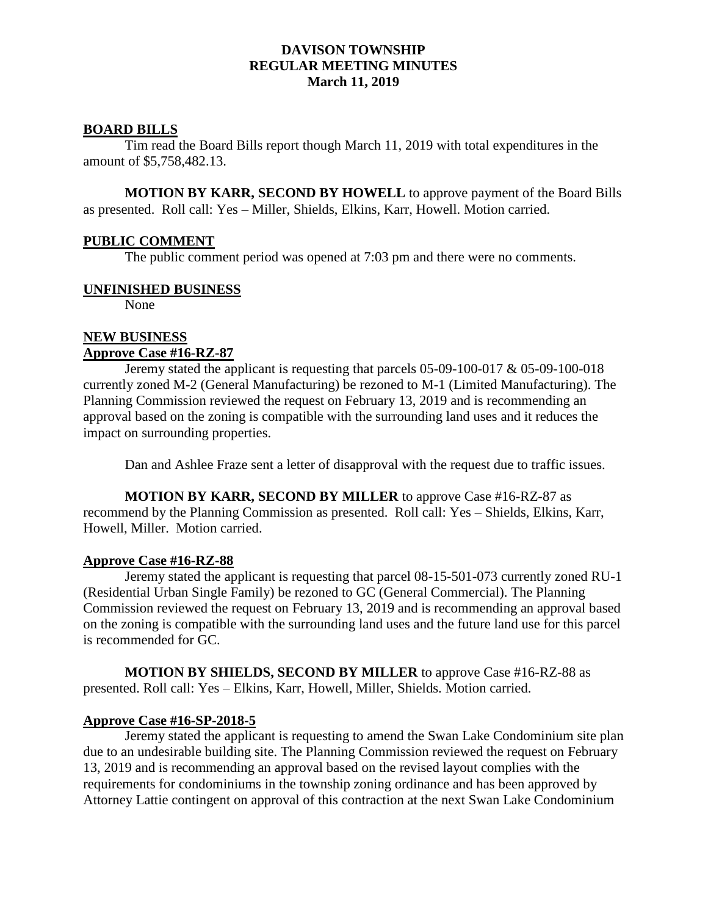### **BOARD BILLS**

Tim read the Board Bills report though March 11, 2019 with total expenditures in the amount of \$5,758,482.13.

**MOTION BY KARR, SECOND BY HOWELL** to approve payment of the Board Bills as presented. Roll call: Yes – Miller, Shields, Elkins, Karr, Howell. Motion carried.

#### **PUBLIC COMMENT**

The public comment period was opened at 7:03 pm and there were no comments.

#### **UNFINISHED BUSINESS**

None

#### **NEW BUSINESS Approve Case #16-RZ-87**

Jeremy stated the applicant is requesting that parcels 05-09-100-017 & 05-09-100-018 currently zoned M-2 (General Manufacturing) be rezoned to M-1 (Limited Manufacturing). The Planning Commission reviewed the request on February 13, 2019 and is recommending an approval based on the zoning is compatible with the surrounding land uses and it reduces the impact on surrounding properties.

Dan and Ashlee Fraze sent a letter of disapproval with the request due to traffic issues.

**MOTION BY KARR, SECOND BY MILLER** to approve Case #16-RZ-87 as recommend by the Planning Commission as presented. Roll call: Yes – Shields, Elkins, Karr, Howell, Miller. Motion carried.

#### **Approve Case #16-RZ-88**

Jeremy stated the applicant is requesting that parcel 08-15-501-073 currently zoned RU-1 (Residential Urban Single Family) be rezoned to GC (General Commercial). The Planning Commission reviewed the request on February 13, 2019 and is recommending an approval based on the zoning is compatible with the surrounding land uses and the future land use for this parcel is recommended for GC.

**MOTION BY SHIELDS, SECOND BY MILLER** to approve Case #16-RZ-88 as presented. Roll call: Yes – Elkins, Karr, Howell, Miller, Shields. Motion carried.

### **Approve Case #16-SP-2018-5**

Jeremy stated the applicant is requesting to amend the Swan Lake Condominium site plan due to an undesirable building site. The Planning Commission reviewed the request on February 13, 2019 and is recommending an approval based on the revised layout complies with the requirements for condominiums in the township zoning ordinance and has been approved by Attorney Lattie contingent on approval of this contraction at the next Swan Lake Condominium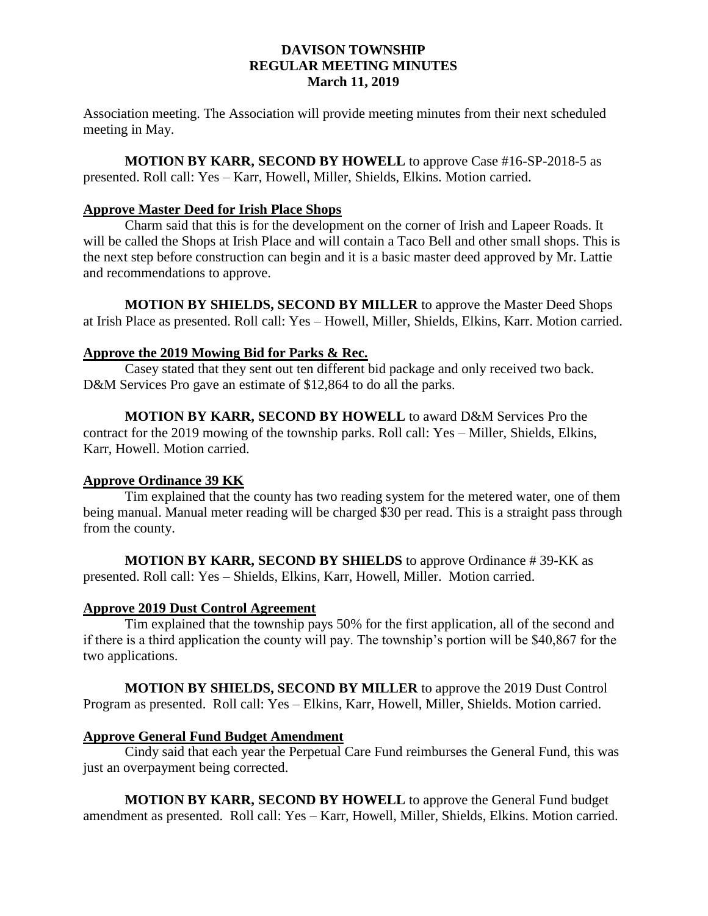Association meeting. The Association will provide meeting minutes from their next scheduled meeting in May.

**MOTION BY KARR, SECOND BY HOWELL** to approve Case #16-SP-2018-5 as presented. Roll call: Yes – Karr, Howell, Miller, Shields, Elkins. Motion carried.

## **Approve Master Deed for Irish Place Shops**

Charm said that this is for the development on the corner of Irish and Lapeer Roads. It will be called the Shops at Irish Place and will contain a Taco Bell and other small shops. This is the next step before construction can begin and it is a basic master deed approved by Mr. Lattie and recommendations to approve.

**MOTION BY SHIELDS, SECOND BY MILLER** to approve the Master Deed Shops at Irish Place as presented. Roll call: Yes – Howell, Miller, Shields, Elkins, Karr. Motion carried.

## **Approve the 2019 Mowing Bid for Parks & Rec.**

Casey stated that they sent out ten different bid package and only received two back. D&M Services Pro gave an estimate of \$12,864 to do all the parks.

**MOTION BY KARR, SECOND BY HOWELL** to award D&M Services Pro the contract for the 2019 mowing of the township parks. Roll call: Yes – Miller, Shields, Elkins, Karr, Howell. Motion carried.

# **Approve Ordinance 39 KK**

Tim explained that the county has two reading system for the metered water, one of them being manual. Manual meter reading will be charged \$30 per read. This is a straight pass through from the county.

**MOTION BY KARR, SECOND BY SHIELDS** to approve Ordinance # 39-KK as presented. Roll call: Yes – Shields, Elkins, Karr, Howell, Miller. Motion carried.

### **Approve 2019 Dust Control Agreement**

Tim explained that the township pays 50% for the first application, all of the second and if there is a third application the county will pay. The township's portion will be \$40,867 for the two applications.

**MOTION BY SHIELDS, SECOND BY MILLER** to approve the 2019 Dust Control Program as presented. Roll call: Yes – Elkins, Karr, Howell, Miller, Shields. Motion carried.

### **Approve General Fund Budget Amendment**

Cindy said that each year the Perpetual Care Fund reimburses the General Fund, this was just an overpayment being corrected.

**MOTION BY KARR, SECOND BY HOWELL** to approve the General Fund budget amendment as presented. Roll call: Yes – Karr, Howell, Miller, Shields, Elkins. Motion carried.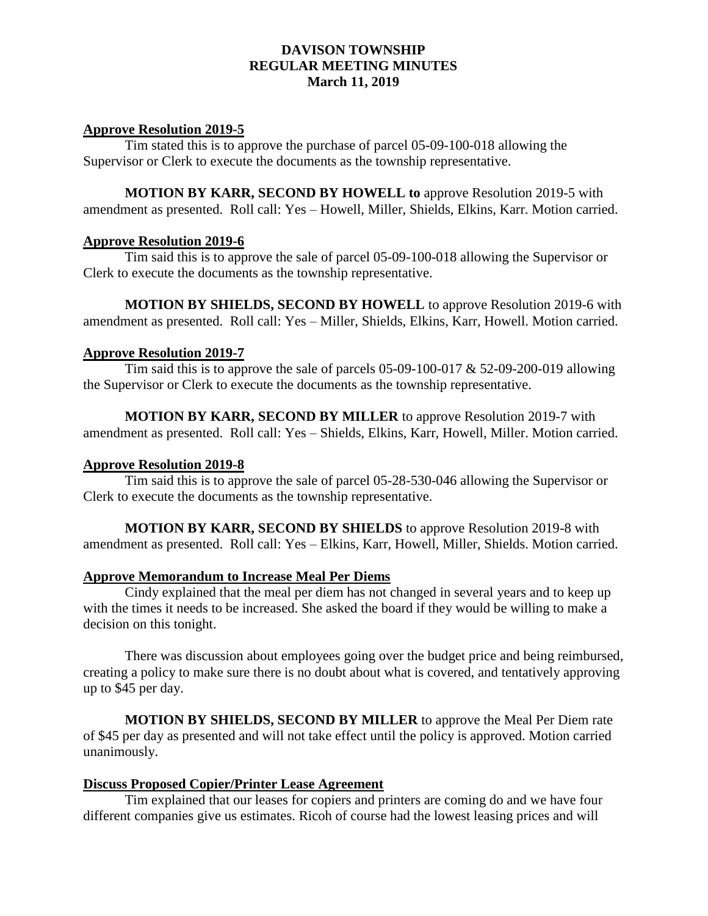#### **Approve Resolution 2019-5**

Tim stated this is to approve the purchase of parcel 05-09-100-018 allowing the Supervisor or Clerk to execute the documents as the township representative.

**MOTION BY KARR, SECOND BY HOWELL to** approve Resolution 2019-5 with amendment as presented. Roll call: Yes – Howell, Miller, Shields, Elkins, Karr. Motion carried.

#### **Approve Resolution 2019-6**

Tim said this is to approve the sale of parcel 05-09-100-018 allowing the Supervisor or Clerk to execute the documents as the township representative.

**MOTION BY SHIELDS, SECOND BY HOWELL** to approve Resolution 2019-6 with amendment as presented. Roll call: Yes – Miller, Shields, Elkins, Karr, Howell. Motion carried.

#### **Approve Resolution 2019-7**

Tim said this is to approve the sale of parcels  $05-09-100-017 \& 52-09-200-019$  allowing the Supervisor or Clerk to execute the documents as the township representative.

**MOTION BY KARR, SECOND BY MILLER** to approve Resolution 2019-7 with amendment as presented. Roll call: Yes – Shields, Elkins, Karr, Howell, Miller. Motion carried.

#### **Approve Resolution 2019-8**

Tim said this is to approve the sale of parcel 05-28-530-046 allowing the Supervisor or Clerk to execute the documents as the township representative.

**MOTION BY KARR, SECOND BY SHIELDS** to approve Resolution 2019-8 with amendment as presented. Roll call: Yes – Elkins, Karr, Howell, Miller, Shields. Motion carried.

#### **Approve Memorandum to Increase Meal Per Diems**

Cindy explained that the meal per diem has not changed in several years and to keep up with the times it needs to be increased. She asked the board if they would be willing to make a decision on this tonight.

There was discussion about employees going over the budget price and being reimbursed, creating a policy to make sure there is no doubt about what is covered, and tentatively approving up to \$45 per day.

**MOTION BY SHIELDS, SECOND BY MILLER** to approve the Meal Per Diem rate of \$45 per day as presented and will not take effect until the policy is approved. Motion carried unanimously.

## **Discuss Proposed Copier/Printer Lease Agreement**

Tim explained that our leases for copiers and printers are coming do and we have four different companies give us estimates. Ricoh of course had the lowest leasing prices and will